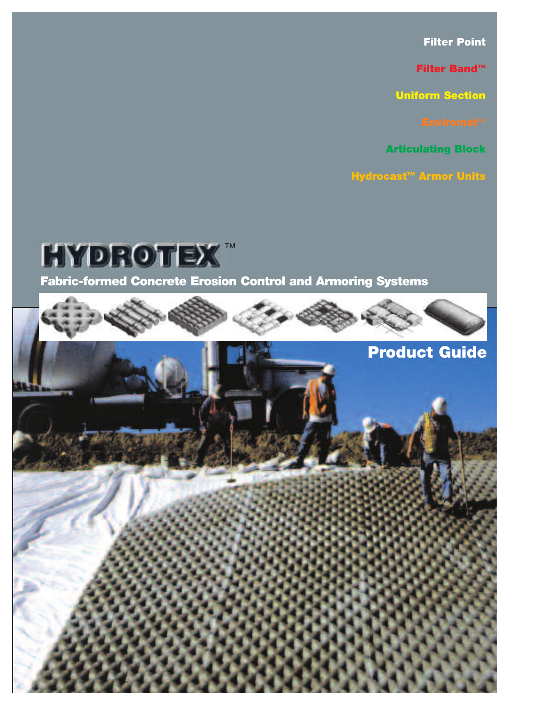Filter Point

Filter Band™

Uniform Section

Articulating Block

Hydrocast™ Armor Units

Fabric-formed Concrete Erosion Control and Armoring Systems **HYDROTEX** 

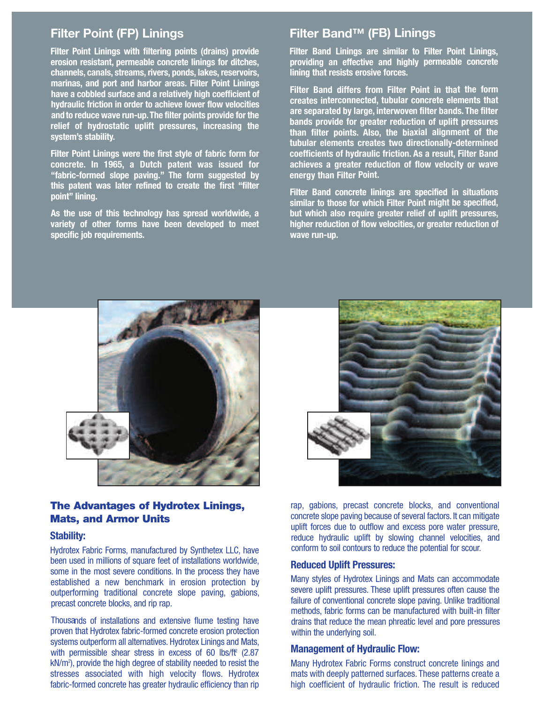# Filter Point (FP) Linings

**Filter Point Linings with filtering points (drains) provide erosion resistant, permeable concrete linings for ditches, channels, canals, streams, rivers, ponds, lakes, reservoirs, marinas, and port and harbor areas. Filter Point Linings have a cobbled surface and a relatively high coefficient of hydraulic friction in order to achieve lower flow velocities andto reduce wave run-up.The filter points provide for the relief of hydrostatic uplift pressures, increasing the system's stability.**

**Filter Point Linings were the first style of fabric form for concrete. In 1965, a Dutch patent was issued for "fabric-formed slope paving." The form suggested by this patent was later refined to create the first "filter point" lining.**

**As the use of this technology has spread worldwide, a variety of other forms have been developed to meet specific job requirements.**

# Filter Band™ (FB) Linings

**Filter Band Linings are similar to Filter Point Linings, providing an effective and highly permeable concrete lining that resists erosive forces.**

**Filter Band differs from Filter Point in that the form creates interconnected, tubular concrete elements that are separated by large, interwoven filter bands. The filter bands provide for greater reduction of uplift pressures than filter points. Also, the biaxial alignment of the tubular elements creates two directionally-determined coefficients of hydraulic friction. As <sup>a</sup> result, Filter Band achieves <sup>a</sup> greater reduction of flow velocity or wave energy than Filter Point.**

**Filter Band concrete linings are specified in situations similar to those for which Filter Point might be specified, but which also require greater relief of uplift pressures, higher reduction of flow velocities, or greater reduction of wave run-up.**



## The Advantages of Hydrotex Linings, Mats, and Armor Units

### **Stability:**

Hydrotex Fabric Forms, manufactured by Synthetex LLC, have been used in millions of square feet of installations worldwide, some in the most severe conditions. In the process they have established a new benchmark in erosion protection by outperforming traditional concrete slope paving, gabions, precast concrete blocks, and rip rap.

Thousands of installations and extensive flume testing have proven that Hydrotex fabric-formed concrete erosion protection systems outperform all alternatives. Hydrotex Linings and Mats, with permissible shear stress in excess of 60 lbs/ft <sup>2</sup> (2.87 kN/m2 ), provide the high degree of stability needed to resist the stresses associated with high velocity flows. Hydrotex fabric-formed concrete has greater hydraulic efficiency than rip



rap, gabions, precast concrete blocks, and conventional concrete slope paving because of several factors. It can mitigate uplift forces due to outflow and excess pore water pressure, reduce hydraulic uplift by slowing channel velocities, and conform to soil contours to reduce the potential for scour.

#### **Reduced Uplift Pressures:**

Many styles of Hydrotex Linings and Mats can accommodate severe uplift pressures. These uplift pressures often cause the failure of conventional concrete slope paving. Unlike traditional methods, fabric forms can be manufactured with built-in filter drains that reduce the mean phreatic level and pore pressures within the underlying soil.

### **Management of Hydraulic Flow:**

Many Hydrotex Fabric Forms construct concrete linings and mats with deeply patterned surfaces. These patterns create a high coefficient of hydraulic friction. The result is reduced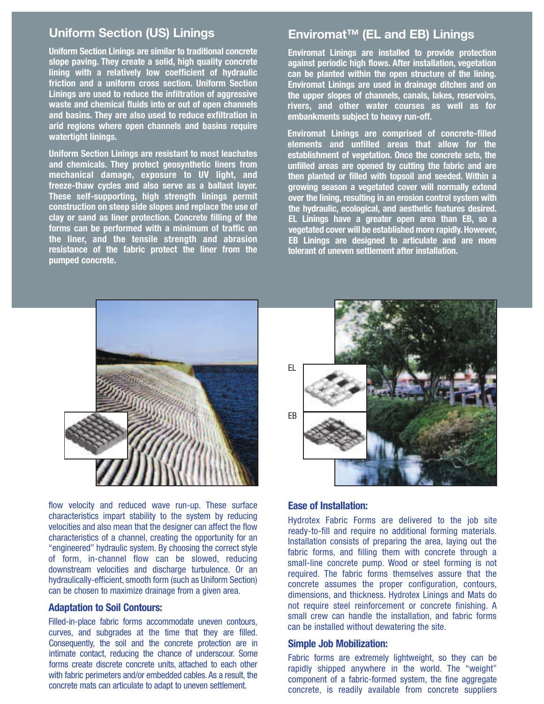# Uniform Section (US) Linings

**Uniform Section Linings are similar to traditional concrete slope paving. They create a solid, high quality concrete lining with a relatively low coefficient of hydraulic friction and a uniform cross section. Uniform Section Linings are used to reduce the infiltration of aggressive waste and chemical fluids into or out of open channels and basins. They are also used to reduce exfiltration in arid regions where open channels and basins require watertight linings.**

**Uniform Section Linings are resistant to most leachates and chemicals. They protect geosynthetic liners from mechanical damage, exposure to UV light, and freeze-thaw cycles and also serve as a ballast layer. These self-supporting, high strength linings permit construction on steep side slopes and replace the use of clay or sand as liner protection. Concrete filling of the forms can be performed with a minimum of traffic on the liner, and the tensile strength and abrasion resistance of the fabric protect the liner from the pumped concrete.**

# Enviromat™ (EL and EB) Linings

**Enviromat Linings are installed to provide protection against periodic high flows. After installation, vegetation can be planted within the open structure of the lining. Enviromat Linings are used in drainage ditches and on the upper slopes of channels, canals, lakes, reservoirs, rivers, and other water courses as well as for embankments subject to heavy run-off.**

**Enviromat Linings are comprised of concrete-filled elements and unfilled areas that allow for the establishment of vegetation. Once the concrete sets, the unfilled areas are opened by cutting the fabric and are then planted or filled with topsoil and seeded. Within a growing season a vegetated cover will normally extend over the lining, resulting in an erosion control system with the hydraulic, ecological, and aesthetic features desired. EL Linings have a greater open area than EB, so a vegetated cover will be established more rapidly. However, EB Linings are designed to articulate and are more tolerant of uneven settlement after installation.**



flow velocity and reduced wave run-up. These surface characteristics impart stability to the system by reducing velocities and also mean that the designer can affect the flow characteristics of a channel, creating the opportunity for an "engineered" hydraulic system. By choosing the correct style of form, in-channel flow can be slowed, reducing downstream velocities and discharge turbulence. Or an hydraulically-efficient, smooth form (such as Uniform Section) can be chosen to maximize drainage from a given area.

## **Adaptation to Soil Contours:**

Filled-in-place fabric forms accommodate uneven contours, curves, and subgrades at the time that they are filled. Consequently, the soil and the concrete protection are in intimate contact, reducing the chance of underscour. Some forms create discrete concrete units, attached to each other with fabric perimeters and/or embedded cables. As a result, the concrete mats can articulate to adapt to uneven settlement.



## **Ease of Installation:**

Hydrotex Fabric Forms are delivered to the job site ready-to-fill and require no additional forming materials. Installation consists of preparing the area, laying out the fabric forms, and filling them with concrete through a small-line concrete pump. Wood or steel forming is not required. The fabric forms themselves assure that the concrete assumes the proper configuration, contours, dimensions, and thickness. Hydrotex Linings and Mats do not require steel reinforcement or concrete finishing. A small crew can handle the installation, and fabric forms can be installed without dewatering the site.

### **Simple Job Mobilization:**

Fabric forms are extremely lightweight, so they can be rapidly shipped anywhere in the world. The "weight" component of a fabric-formed system, the fine aggregate concrete, is readily available from concrete suppliers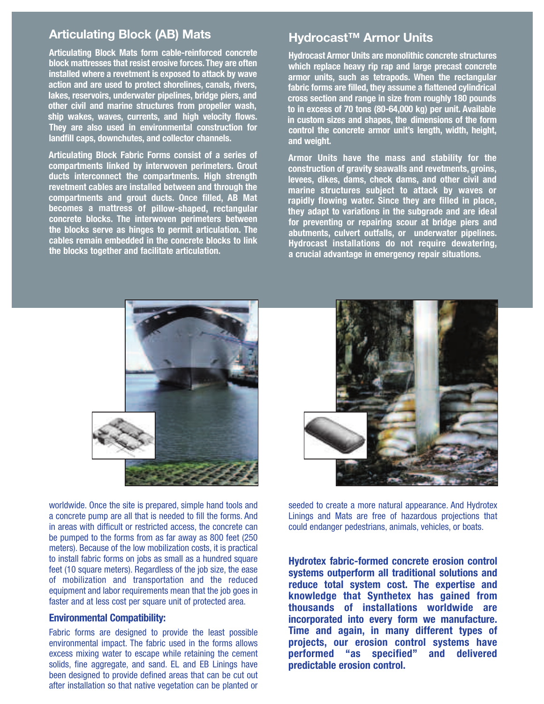# Articulating Block (AB) Mats

**Articulating Block Mats form cable-reinforced concrete** block mattresses that resist erosive forces. They are often installed where a revetment is exposed to attack by wave action and are used to protect shorelines, canals, rivers, lakes, reservoirs, underwater pipelines, bridge piers, and other civil and marine structures from propeller wash, ship wakes, waves, currents, and high velocity flows.  **They are also used in environmental construction for landfill caps, downchutes, and collector channels.** 

Articulating Block Fabric Forms consist of a series of **compartments linked by interwoven perimeters. Grout and chemicals. They protect geosynthetic liners from ducts interconnect the compartments. High strength mechanical damage, exposure to UV light, and** revetment cables are installed between and through the **Compartments and grout ducts. Once filled, AB Mat becomes** a mattress of pillow-shaped, rectangular **concrete blocks. The interwoven perimeters between clay or sand as liner protection. Concrete filling of the** the blocks serve as hinges to permit articulation. The **cables remain embedded in the concrete blocks to link the liner, and the tensile strength and abrasion the blocks together and facilitate articulation. resistance of the fabric protect the liner from the**

# Hydrocast<sup>™</sup> Armor Units

**Hydrocast Armor Units are monolithic concrete structures Enviromat Linings are installed to provide protection** which replace heavy rip rap and large precast concrete armor units, such as tetrapods. When the rectangular fabric forms are filled, they assume a flattened cylindrical cross section and range in size from roughly 180 pounds to in excess of 70 tons (80-64,000 kg) per unit. Available **in custom sizes** and shapes, the dimensions of the form **control the concrete armor unit's length, width, height, and weight. elements and unfilled areas that allow for the**

**Armor Units have the mass and stability for the establishment of vegetation. Once the concrete sets, the** construction of gravity seawalls and revetments, groins, levees, dikes, dams, check dams, and other civil and **marine** structures subject to attack by waves or rapidly flowing water. Since they are filled in place, they adapt to variations in the subgrade and are ideal for preventing or repairing scour at bridge piers and **abutments, culvert outfalls, or underwater pipelines. Hydrocast installations do not require dewatering, EB Linings are designed to articulate and are more a crucial advantage in emergency repair situations. tolerant of uneven settlement after installation.**





worldwide. Once the site is prepared, simple hand tools and a concrete pump are all that is needed to fill the forms. And in areas with difficult or restricted access, the concrete can be pumped to the forms from as far away as 800 feet (250 meters). Because of the low mobilization costs, it is practical to install fabric forms on jobs as small as a hundred square feet (10 square meters). Regardless of the job size, the ease of mobilization and transportation and the reduced equipment and labor requirements mean that the job goes in faster and at less cost per square unit of protected area.

# **Environmental Compatibility:**

Fabric forms are designed to provide the least possible environmental impact. The fabric used in the forms allows excess mixing water to escape while retaining the cement solids, fine aggregate, and sand. EL and EB Linings have been designed to provide defined areas that can be cut out after installation so that native vegetation can be planted or

seeded to create a more natural appearance. And Hydrotex **Ease of Installation:** Linings and Mats are free of hazardous projections that could endanger pedestrians, animals, vehicles, or boats.

**Hydrotex fabric-formed concrete erosion control systems outperform all traditional solutions and reduce total system cost. The expertise and knowledge that Synthetex has gained from thousands of installations worldwide are incorporated** into every form we manufacture. **Time** and again, in many different types of **negation have have have have have have have have have have have have have have have have have have have have have have have have have have have have have have performed** "as specified" and delivered **predictable** erosion control.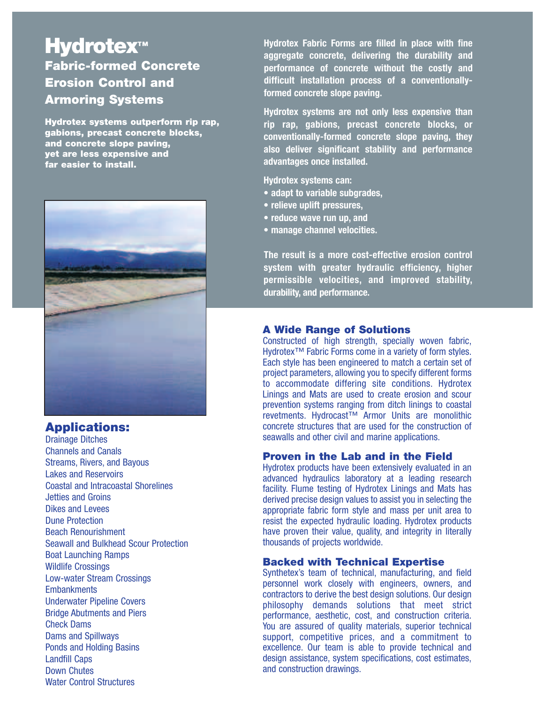### **Hydrotex™** Fabric-formed Concrete **slope paving. They create a solid, high quality concrete fixally andal <b>and and a cross control and cross c Lining Systems area** *used* **<b>a** Uniform Section (US) Linings **Uniformal Execution Concrete lining with a relatively low coefficient of hydraulic waste and chemical fluids into or out of open channels**

Hydrotex systems outperform rip rap, **and basins. They are also used to reduce exfiltration in** gabions, precast concrete blocks, and concrete slope paving, **Vet are less expensive and <b>Section Section Section Section and <b>chemicals chemicals chemicals chemically <b>chemical chemical arid regions regions contained by the channel of the channels requires requires requires requires requires requires requires requires requires requires requires requires the contained by the** 



# Applications:

Drainage Ditches Channels and Canals Streams, Rivers, and Bayous Lakes and Reservoirs Coastal and Intracoastal Shorelines Jetties and Groins Dikes and Levees and run-up. These surface wave run - wave run - wave run - wave run - wave run - wave run - wave run - wave run - wave run - wave run - wave run - wave run - wave run - wave run - wave run - wave run - wav **Dune Protection Beach Renourishment Seawall and Bulkhead Scour Protection** Boat Launching Ramps<br>
internal flow can be slowed, reducing the slowed set of the slowed, reducing the slowed, reducing the slowed, Wildlife Crossings and discharge turbulence. Or and discharge turbulence. Or and discharge turbulence. Or and discharge turbulence. Or and discharge turbulence. Or and discharge turbulence. Or and discharge turbulence. Or Low-water Stream Crossings Embankments and a given a given area. Underwater Pipeline Covers **Bridge Abutments and Piers Check Dams** accommodate in-place fabric forms accommodate uneven contours, accommodate uneven contours, accommodate uneven contours, accommodate uneven contours, accommodate uneven contours, accommodate uneven contours, a Dams and Spillways Ponds and Holding Basins Landfill Caps Francisco Capeston<br>Down Chutes with chutes<br>Water Control Structures beawali and buinnead ocult Fruite dulli water control structures

**Hydrotex Fabric Forms are filled in place with fine aggregate concrete, delivering the durability and Enviromat Linings are installed to provide protection performance of concrete without the costly and against periodic high flows. After installation, vegetation difficult installation process of a conventionally-can be planted within the open structure of the lining. formed concrete slope paving. the upper slopes of channels, canals, lakes, reservoirs,** Enviromat™ (EL and EB) Linings **Enviromat Linings are used in drainage ditches and on**

**Hydrotex systems are not only less expensive than rivers, and other water courses as well as for rip rap, gabions, precast concrete blocks, or conventionally-formed concrete slope paving, they also deliver significant stability and performance elements and unfilled areas that allow for the advantages once installed. unfilled areas are opened by cutting the fabric and are example to the subject of the subject of the subject of the subject of the subject of the subject of the subject of the subject of the subject of the subject of the subject of the subject of the subject of the subject of establishment of vegetation. Once the concrete sets, the**

**Hydrotex systems can: then planted or filled with topsoil and seeded. Within a**

- **• adapt to variable subgrades, growing season a vegetated cover will normally extend over the lining, resulting in an erosion control system with**
- **• relieve uplift pressures, the hydraulic, ecological, and aesthetic features desired.**
- **• reduce wave run up, and EL Linings have a greater open area than EB, so a**
- **• manage channel velocities. and <b>rapidly coverable coverable**

**The result is a more cost-effective erosion control tolerant of uneven settlement after installation. system with greater hydraulic efficiency, higher permissible velocities, and improved stability, durability, and performance.**

 $\blacksquare$ 

## A Wide Range of Solutions

Constructed of high strength, specially woven fabric, Hydrotex<sup>™</sup> Fabric Forms come in a variety of form styles. Each style has been engineered to match a certain set of project parameters, allowing you to specify different forms EL to accommodate differing site conditions. Hydrotex Linings and Mats are used to create erosion and scour prevention systems ranging from ditch linings to coastal revetments. Hydrocast™ Armor Units are monolithic concrete structures that are used for the construction of seawalls and other civil and marine applications.

## Proven in the Lab and in the Field

Hydrotex products have been extensively evaluated in an advanced hydraulics laboratory at a leading research facility. Flume testing of Hydrotex Linings and Mats has derived precise design values to assist you in selecting the appropriate fabric form style and mass per unit area to resist the expected hydraulic loading. Hydrotex products have proven their value, quality, and integrity in literally thousands of projects worldwide.

## Backed with Technical Expertise

Synthetex's team of technical, manufacturing, and field personnel work closely with engineers, owners, and contractors to derive the best design solutions. Our design philosophy demands solutions that meet strict performance, aesthetic, cost, and construction criteria. You are assured of quality materials, superior technical support, competitive prices, and a commitment to excellence. Our team is able to provide technical and design assistance, system specifications, cost estimates, and construction drawings. The world. The world. The weight of weight and weight  $\alpha$